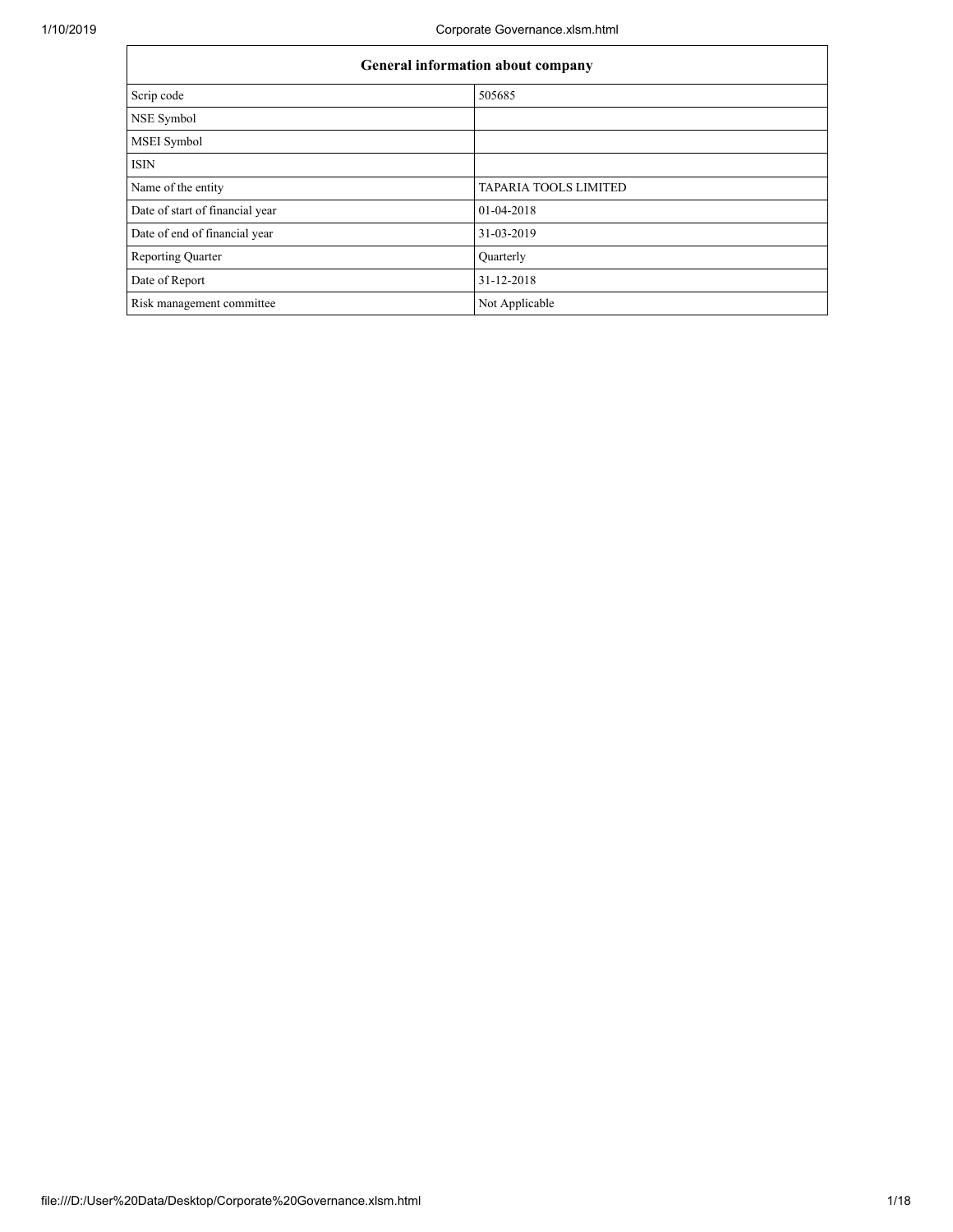Г

٦

| General information about company |                              |  |  |  |  |  |
|-----------------------------------|------------------------------|--|--|--|--|--|
| Scrip code                        | 505685                       |  |  |  |  |  |
| NSE Symbol                        |                              |  |  |  |  |  |
| <b>MSEI</b> Symbol                |                              |  |  |  |  |  |
| <b>ISIN</b>                       |                              |  |  |  |  |  |
| Name of the entity                | <b>TAPARIA TOOLS LIMITED</b> |  |  |  |  |  |
| Date of start of financial year   | 01-04-2018                   |  |  |  |  |  |
| Date of end of financial year     | 31-03-2019                   |  |  |  |  |  |
| <b>Reporting Quarter</b>          | Quarterly                    |  |  |  |  |  |
| Date of Report                    | 31-12-2018                   |  |  |  |  |  |
| Risk management committee         | Not Applicable               |  |  |  |  |  |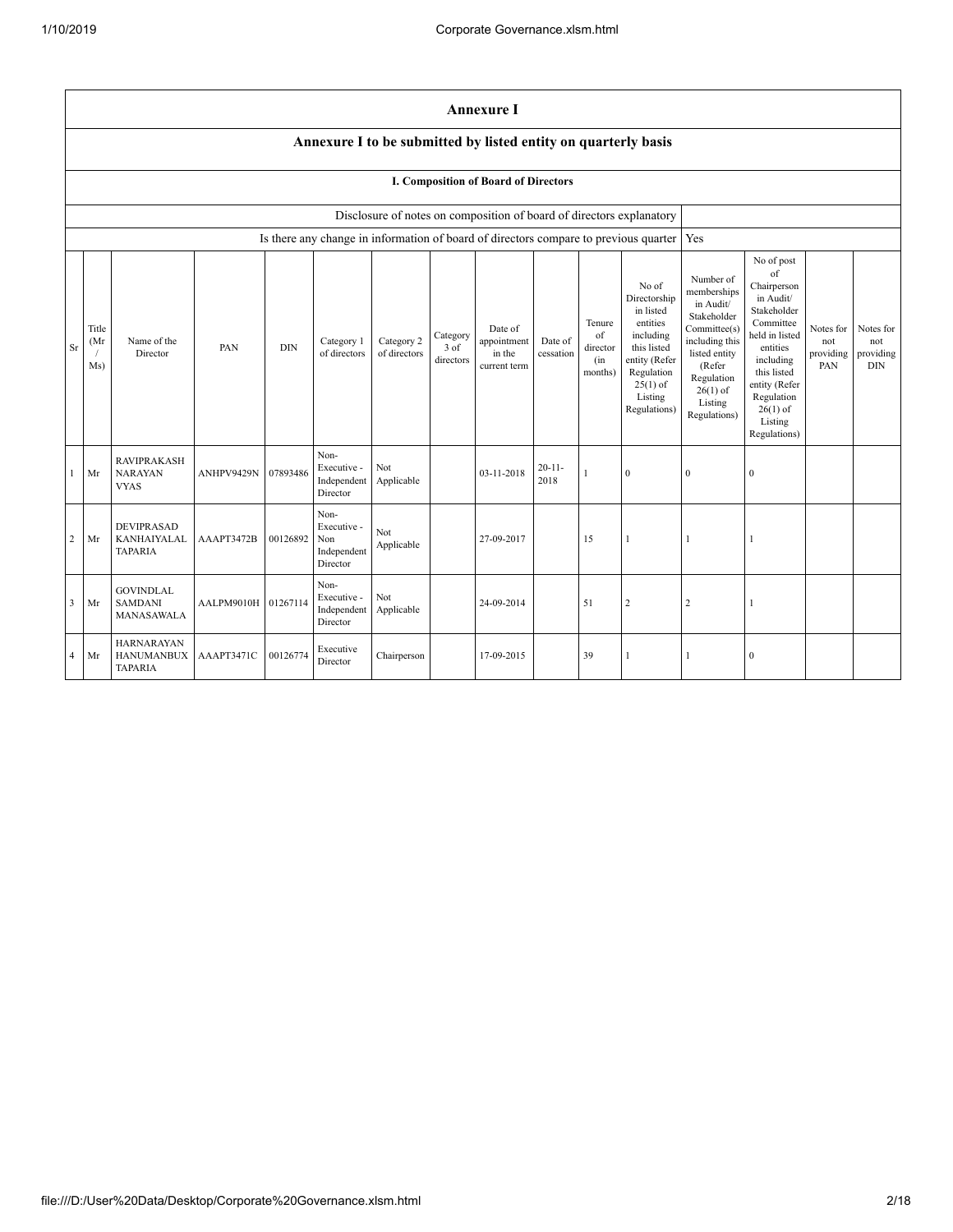|                |                                                                |                                                           |                     |            |                                                       |                            |                               | <b>Annexure I</b>                                                    |                      |                                            |                                                                                                                                                    |                                                                                                                                                                          |                                                                                                                                                                                                            |                                      |                                             |
|----------------|----------------------------------------------------------------|-----------------------------------------------------------|---------------------|------------|-------------------------------------------------------|----------------------------|-------------------------------|----------------------------------------------------------------------|----------------------|--------------------------------------------|----------------------------------------------------------------------------------------------------------------------------------------------------|--------------------------------------------------------------------------------------------------------------------------------------------------------------------------|------------------------------------------------------------------------------------------------------------------------------------------------------------------------------------------------------------|--------------------------------------|---------------------------------------------|
|                | Annexure I to be submitted by listed entity on quarterly basis |                                                           |                     |            |                                                       |                            |                               |                                                                      |                      |                                            |                                                                                                                                                    |                                                                                                                                                                          |                                                                                                                                                                                                            |                                      |                                             |
|                | <b>I. Composition of Board of Directors</b>                    |                                                           |                     |            |                                                       |                            |                               |                                                                      |                      |                                            |                                                                                                                                                    |                                                                                                                                                                          |                                                                                                                                                                                                            |                                      |                                             |
|                |                                                                |                                                           |                     |            |                                                       |                            |                               | Disclosure of notes on composition of board of directors explanatory |                      |                                            |                                                                                                                                                    |                                                                                                                                                                          |                                                                                                                                                                                                            |                                      |                                             |
|                |                                                                |                                                           |                     |            |                                                       |                            |                               |                                                                      |                      |                                            | Is there any change in information of board of directors compare to previous quarter                                                               | Yes                                                                                                                                                                      |                                                                                                                                                                                                            |                                      |                                             |
| Sr             | Title<br>(Mr<br>Ms)                                            | Name of the<br>Director                                   | PAN                 | <b>DIN</b> | Category 1<br>of directors                            | Category 2<br>of directors | Category<br>3 of<br>directors | Date of<br>appointment<br>in the<br>current term                     | Date of<br>cessation | Tenure<br>of<br>director<br>(in<br>months) | No of<br>Directorship<br>in listed<br>entities<br>including<br>this listed<br>entity (Refer<br>Regulation<br>$25(1)$ of<br>Listing<br>Regulations) | Number of<br>memberships<br>in Audit/<br>Stakeholder<br>Committee(s)<br>including this<br>listed entity<br>(Refer<br>Regulation<br>$26(1)$ of<br>Listing<br>Regulations) | No of post<br>of<br>Chairperson<br>in Audit/<br>Stakeholder<br>Committee<br>held in listed<br>entities<br>including<br>this listed<br>entity (Refer<br>Regulation<br>$26(1)$ of<br>Listing<br>Regulations) | Notes for<br>not<br>providing<br>PAN | Notes for<br>not<br>providing<br><b>DIN</b> |
| -1             | Mr                                                             | <b>RAVIPRAKASH</b><br><b>NARAYAN</b><br><b>VYAS</b>       | ANHPV9429N          | 07893486   | Non-<br>Executive -<br>Independent<br>Director        | Not<br>Applicable          |                               | 03-11-2018                                                           | $20 - 11 -$<br>2018  |                                            | $\mathbf{0}$                                                                                                                                       | $\Omega$                                                                                                                                                                 | $\mathbf{0}$                                                                                                                                                                                               |                                      |                                             |
| $\overline{c}$ | Mr                                                             | <b>DEVIPRASAD</b><br><b>KANHAIYALAL</b><br><b>TAPARIA</b> | AAAPT3472B          | 00126892   | Non-<br>Executive -<br>Non<br>Independent<br>Director | Not<br>Applicable          |                               | 27-09-2017                                                           |                      | 15                                         | 1                                                                                                                                                  | $\mathbf{1}$                                                                                                                                                             | 1                                                                                                                                                                                                          |                                      |                                             |
| $\overline{3}$ | Mr                                                             | <b>GOVINDLAL</b><br><b>SAMDANI</b><br>MANASAWALA          | AALPM9010H 01267114 |            | Non-<br>Executive -<br>Independent<br>Director        | Not<br>Applicable          |                               | 24-09-2014                                                           |                      | 51                                         | $\sqrt{2}$                                                                                                                                         | $\overline{2}$                                                                                                                                                           | $\mathbf{1}$                                                                                                                                                                                               |                                      |                                             |
| $\overline{4}$ | Mr                                                             | <b>HARNARAYAN</b><br><b>HANUMANBUX</b><br><b>TAPARIA</b>  | AAAPT3471C          | 00126774   | Executive<br>Director                                 | Chairperson                |                               | 17-09-2015                                                           |                      | 39                                         |                                                                                                                                                    |                                                                                                                                                                          | $\mathbf{0}$                                                                                                                                                                                               |                                      |                                             |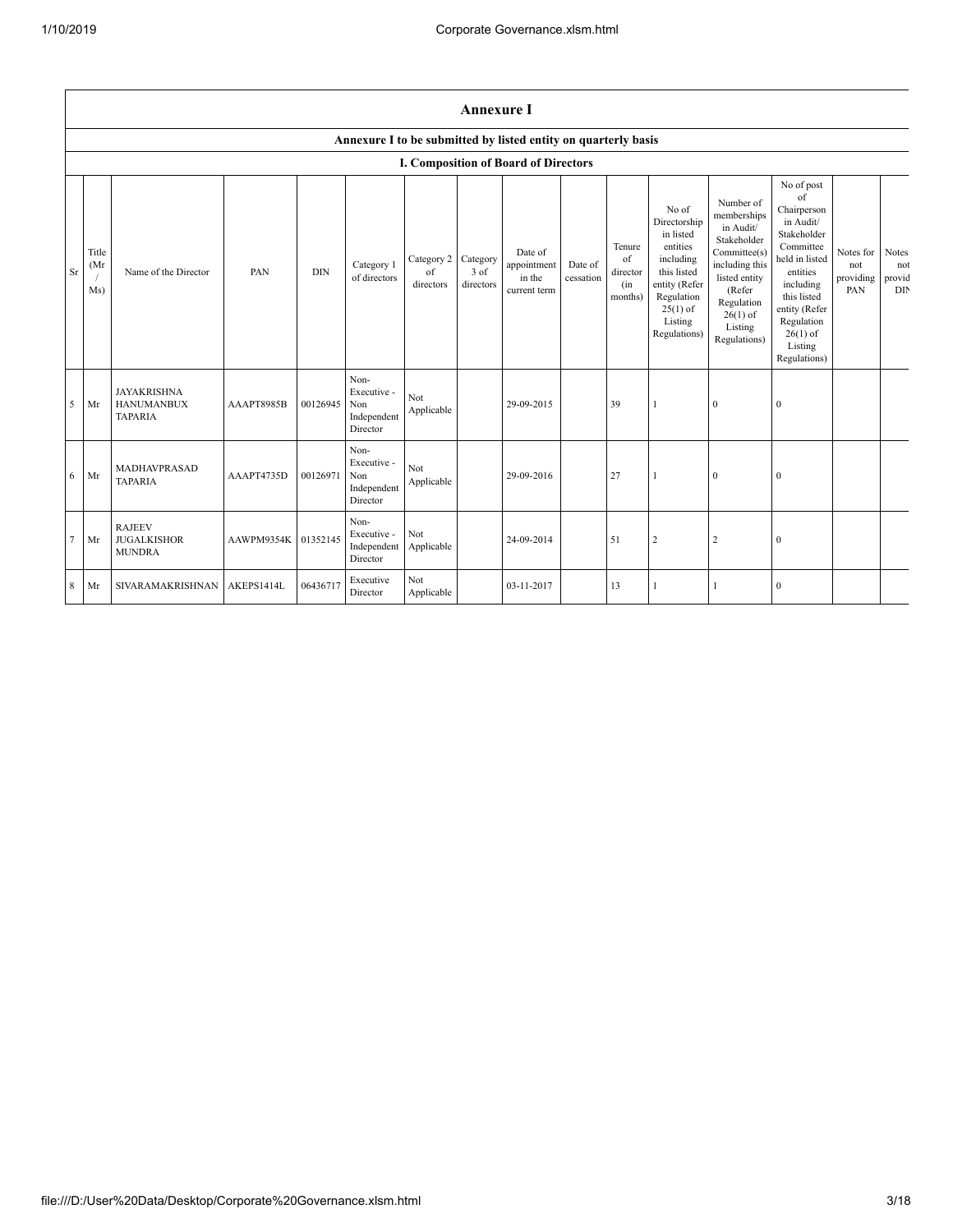|          | <b>Annexure I</b>    |                                                           |            |            |                                                       |                               |                               |                                                                |                      |                                            |                                                                                                                                                    |                                                                                                                                                                          |                                                                                                                                                                                                            |                                      |                               |
|----------|----------------------|-----------------------------------------------------------|------------|------------|-------------------------------------------------------|-------------------------------|-------------------------------|----------------------------------------------------------------|----------------------|--------------------------------------------|----------------------------------------------------------------------------------------------------------------------------------------------------|--------------------------------------------------------------------------------------------------------------------------------------------------------------------------|------------------------------------------------------------------------------------------------------------------------------------------------------------------------------------------------------------|--------------------------------------|-------------------------------|
|          |                      |                                                           |            |            |                                                       |                               |                               | Annexure I to be submitted by listed entity on quarterly basis |                      |                                            |                                                                                                                                                    |                                                                                                                                                                          |                                                                                                                                                                                                            |                                      |                               |
|          |                      |                                                           |            |            |                                                       |                               |                               | <b>I. Composition of Board of Directors</b>                    |                      |                                            |                                                                                                                                                    |                                                                                                                                                                          |                                                                                                                                                                                                            |                                      |                               |
| $\rm Sr$ | Title<br>(Mr)<br>Ms) | Name of the Director                                      | PAN        | <b>DIN</b> | Category 1<br>of directors                            | Category 2<br>of<br>directors | Category<br>3 of<br>directors | Date of<br>appointment<br>in the<br>current term               | Date of<br>cessation | Tenure<br>of<br>director<br>(in<br>months) | No of<br>Directorship<br>in listed<br>entities<br>including<br>this listed<br>entity (Refer<br>Regulation<br>$25(1)$ of<br>Listing<br>Regulations) | Number of<br>memberships<br>in Audit/<br>Stakeholder<br>Committee(s)<br>including this<br>listed entity<br>(Refer<br>Regulation<br>$26(1)$ of<br>Listing<br>Regulations) | No of post<br>of<br>Chairperson<br>in Audit/<br>Stakeholder<br>Committee<br>held in listed<br>entities<br>including<br>this listed<br>entity (Refer<br>Regulation<br>$26(1)$ of<br>Listing<br>Regulations) | Notes for<br>not<br>providing<br>PAN | Notes<br>not<br>provid<br>DIN |
| 5        | Mr                   | <b>JAYAKRISHNA</b><br><b>HANUMANBUX</b><br><b>TAPARIA</b> | AAAPT8985B | 00126945   | Non-<br>Executive -<br>Non<br>Independent<br>Director | Not<br>Applicable             |                               | 29-09-2015                                                     |                      | 39                                         |                                                                                                                                                    | $\mathbf{0}$                                                                                                                                                             | $\mathbf{0}$                                                                                                                                                                                               |                                      |                               |
| 6        | Mr                   | MADHAVPRASAD<br><b>TAPARIA</b>                            | AAAPT4735D | 00126971   | Non-<br>Executive -<br>Non<br>Independent<br>Director | Not<br>Applicable             |                               | 29-09-2016                                                     |                      | 27                                         |                                                                                                                                                    | $\mathbf{0}$                                                                                                                                                             | $\mathbf{0}$                                                                                                                                                                                               |                                      |                               |
| $\tau$   | Mr                   | <b>RAJEEV</b><br><b>JUGALKISHOR</b><br><b>MUNDRA</b>      | AAWPM9354K | 01352145   | Non-<br>Executive -<br>Independent<br>Director        | Not<br>Applicable             |                               | 24-09-2014                                                     |                      | 51                                         | $\sqrt{2}$                                                                                                                                         | 2                                                                                                                                                                        | $\boldsymbol{0}$                                                                                                                                                                                           |                                      |                               |
| 8        | Mr                   | <b>SIVARAMAKRISHNAN</b>                                   | AKEPS1414L | 06436717   | Executive<br>Director                                 | Not<br>Applicable             |                               | 03-11-2017                                                     |                      | 13                                         |                                                                                                                                                    |                                                                                                                                                                          | $\mathbf{0}$                                                                                                                                                                                               |                                      |                               |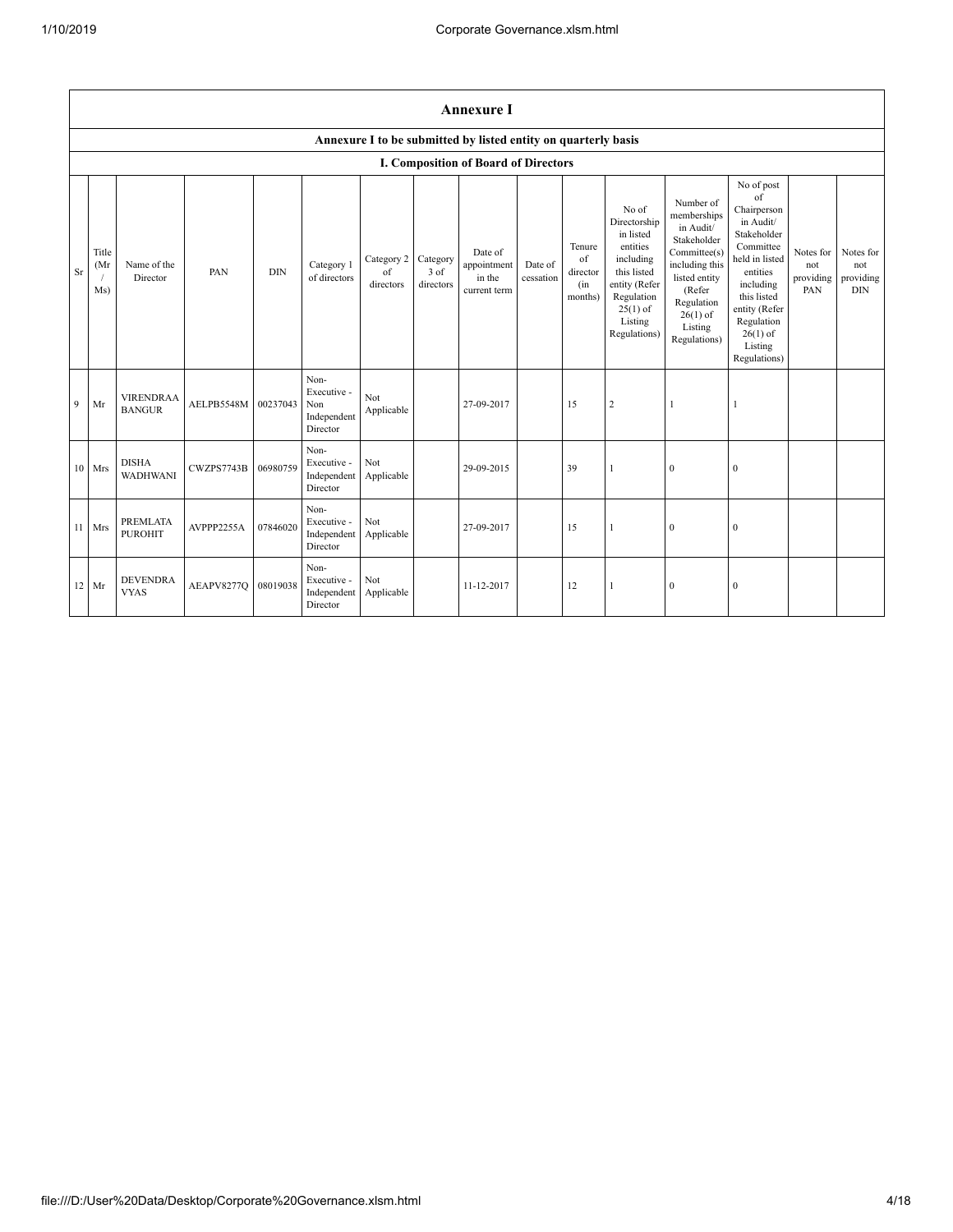|    | <b>Annexure I</b>   |                                   |            |            |                                                       |                               |                               |                                                                |                      |                                            |                                                                                                                                                    |                                                                                                                                                                          |                                                                                                                                                                                                            |                                      |                                             |
|----|---------------------|-----------------------------------|------------|------------|-------------------------------------------------------|-------------------------------|-------------------------------|----------------------------------------------------------------|----------------------|--------------------------------------------|----------------------------------------------------------------------------------------------------------------------------------------------------|--------------------------------------------------------------------------------------------------------------------------------------------------------------------------|------------------------------------------------------------------------------------------------------------------------------------------------------------------------------------------------------------|--------------------------------------|---------------------------------------------|
|    |                     |                                   |            |            |                                                       |                               |                               | Annexure I to be submitted by listed entity on quarterly basis |                      |                                            |                                                                                                                                                    |                                                                                                                                                                          |                                                                                                                                                                                                            |                                      |                                             |
|    |                     |                                   |            |            |                                                       |                               |                               | <b>I. Composition of Board of Directors</b>                    |                      |                                            |                                                                                                                                                    |                                                                                                                                                                          |                                                                                                                                                                                                            |                                      |                                             |
| Sr | Title<br>(Mr<br>Ms) | Name of the<br>Director           | PAN        | <b>DIN</b> | Category 1<br>of directors                            | Category 2<br>of<br>directors | Category<br>3 of<br>directors | Date of<br>appointment<br>in the<br>current term               | Date of<br>cessation | Tenure<br>of<br>director<br>(in<br>months) | No of<br>Directorship<br>in listed<br>entities<br>including<br>this listed<br>entity (Refer<br>Regulation<br>$25(1)$ of<br>Listing<br>Regulations) | Number of<br>memberships<br>in Audit/<br>Stakeholder<br>Committee(s)<br>including this<br>listed entity<br>(Refer<br>Regulation<br>$26(1)$ of<br>Listing<br>Regulations) | No of post<br>of<br>Chairperson<br>in Audit/<br>Stakeholder<br>Committee<br>held in listed<br>entities<br>including<br>this listed<br>entity (Refer<br>Regulation<br>$26(1)$ of<br>Listing<br>Regulations) | Notes for<br>not<br>providing<br>PAN | Notes for<br>not<br>providing<br>$\rm{DIN}$ |
| 9  | Mr                  | <b>VIRENDRAA</b><br><b>BANGUR</b> | AELPB5548M | 00237043   | Non-<br>Executive -<br>Non<br>Independent<br>Director | Not<br>Applicable             |                               | 27-09-2017                                                     |                      | 15                                         | $\overline{c}$                                                                                                                                     | 1                                                                                                                                                                        |                                                                                                                                                                                                            |                                      |                                             |
|    | 10 Mrs              | <b>DISHA</b><br><b>WADHWANI</b>   | CWZPS7743B | 06980759   | Non-<br>Executive -<br>Independent<br>Director        | Not<br>Applicable             |                               | 29-09-2015                                                     |                      | 39                                         | 1                                                                                                                                                  | $\mathbf{0}$                                                                                                                                                             | $\boldsymbol{0}$                                                                                                                                                                                           |                                      |                                             |
| 11 | Mrs                 | <b>PREMLATA</b><br><b>PUROHIT</b> | AVPPP2255A | 07846020   | Non-<br>Executive -<br>Independent<br>Director        | Not<br>Applicable             |                               | 27-09-2017                                                     |                      | 15                                         | 1                                                                                                                                                  | $\theta$                                                                                                                                                                 | $\theta$                                                                                                                                                                                                   |                                      |                                             |
|    | 12 Mr               | <b>DEVENDRA</b><br><b>VYAS</b>    | AEAPV8277Q | 08019038   | Non-<br>Executive -<br>Independent<br>Director        | Not<br>Applicable             |                               | 11-12-2017                                                     |                      | 12                                         | $\mathbf{1}$                                                                                                                                       | $\mathbf{0}$                                                                                                                                                             | $\mathbf{0}$                                                                                                                                                                                               |                                      |                                             |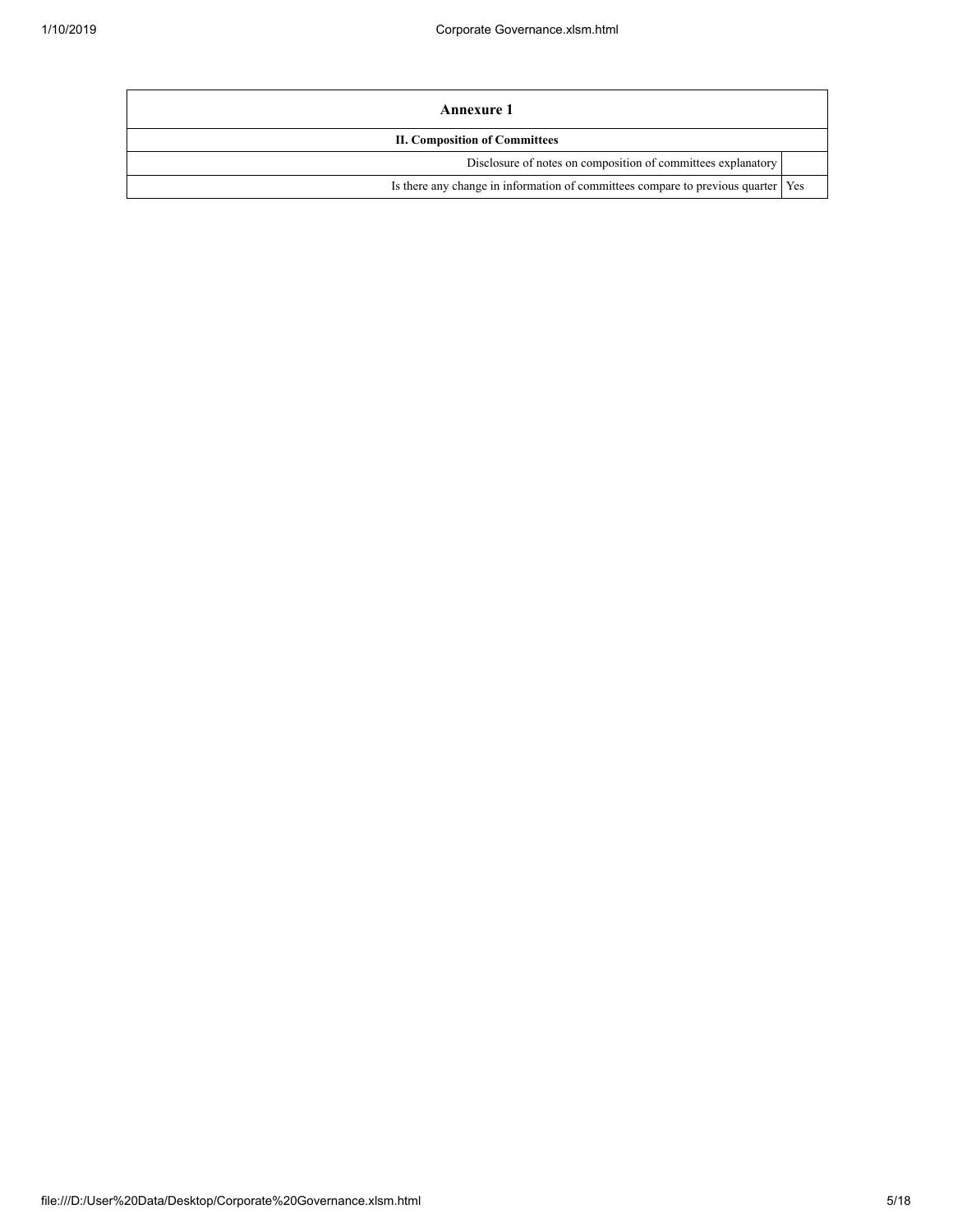| Annexure 1                                                                         |  |
|------------------------------------------------------------------------------------|--|
| <b>II. Composition of Committees</b>                                               |  |
| Disclosure of notes on composition of committees explanatory                       |  |
| Is there any change in information of committees compare to previous quarter   Yes |  |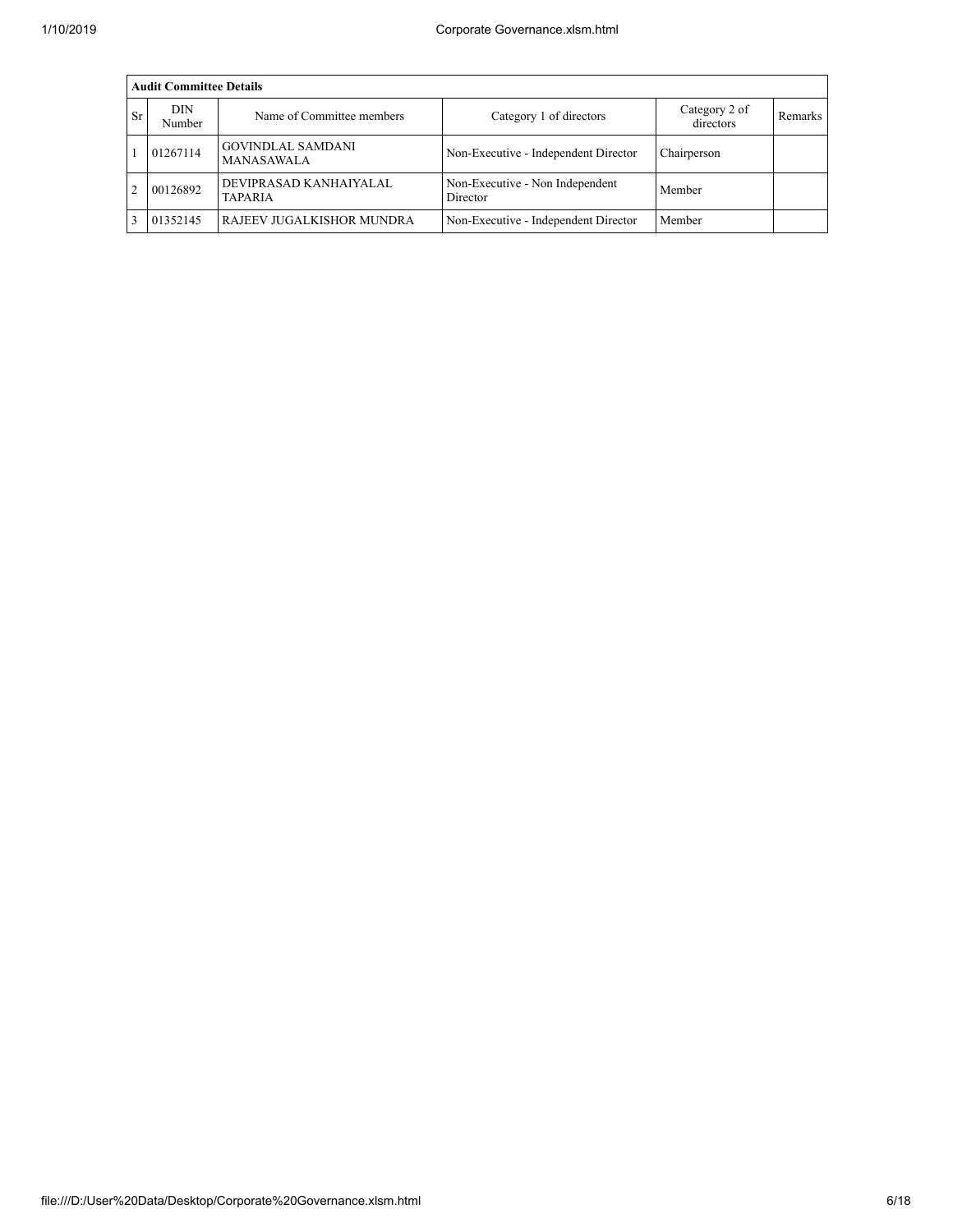|           | <b>Audit Committee Details</b> |                                          |                                             |                            |         |  |  |  |  |  |  |
|-----------|--------------------------------|------------------------------------------|---------------------------------------------|----------------------------|---------|--|--|--|--|--|--|
| <b>Sr</b> | DIN<br>Number                  | Name of Committee members                | Category 1 of directors                     | Category 2 of<br>directors | Remarks |  |  |  |  |  |  |
|           | 01267114                       | <b>GOVINDLAL SAMDANI</b><br>MANASAWALA   | Non-Executive - Independent Director        | Chairperson                |         |  |  |  |  |  |  |
|           | 00126892                       | DEVIPRASAD KANHAIYALAL<br><b>TAPARIA</b> | Non-Executive - Non Independent<br>Director | Member                     |         |  |  |  |  |  |  |
|           | 01352145                       | RAJEEV JUGALKISHOR MUNDRA                | Non-Executive - Independent Director        | Member                     |         |  |  |  |  |  |  |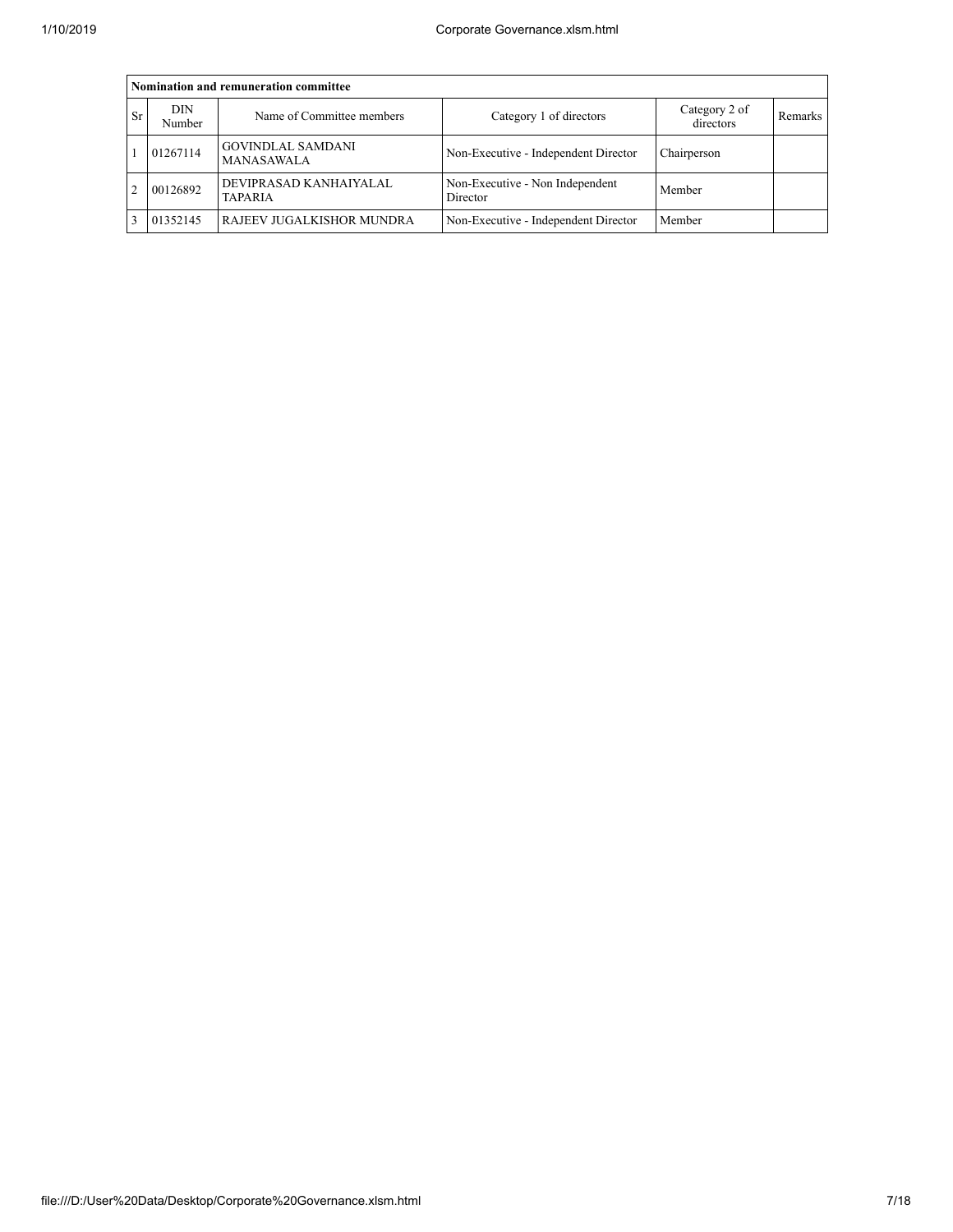|           | Nomination and remuneration committee |                                               |                                             |                            |         |  |  |  |  |  |  |
|-----------|---------------------------------------|-----------------------------------------------|---------------------------------------------|----------------------------|---------|--|--|--|--|--|--|
| <b>Sr</b> | DIN<br>Number                         | Name of Committee members                     | Category 1 of directors                     | Category 2 of<br>directors | Remarks |  |  |  |  |  |  |
|           | 01267114                              | <b>GOVINDLAL SAMDANI</b><br><b>MANASAWALA</b> | Non-Executive - Independent Director        | Chairperson                |         |  |  |  |  |  |  |
|           | 00126892                              | DEVIPRASAD KANHAIYALAL<br><b>TAPARIA</b>      | Non-Executive - Non Independent<br>Director | Member                     |         |  |  |  |  |  |  |
|           | 01352145                              | RAJEEV JUGALKISHOR MUNDRA                     | Non-Executive - Independent Director        | Member                     |         |  |  |  |  |  |  |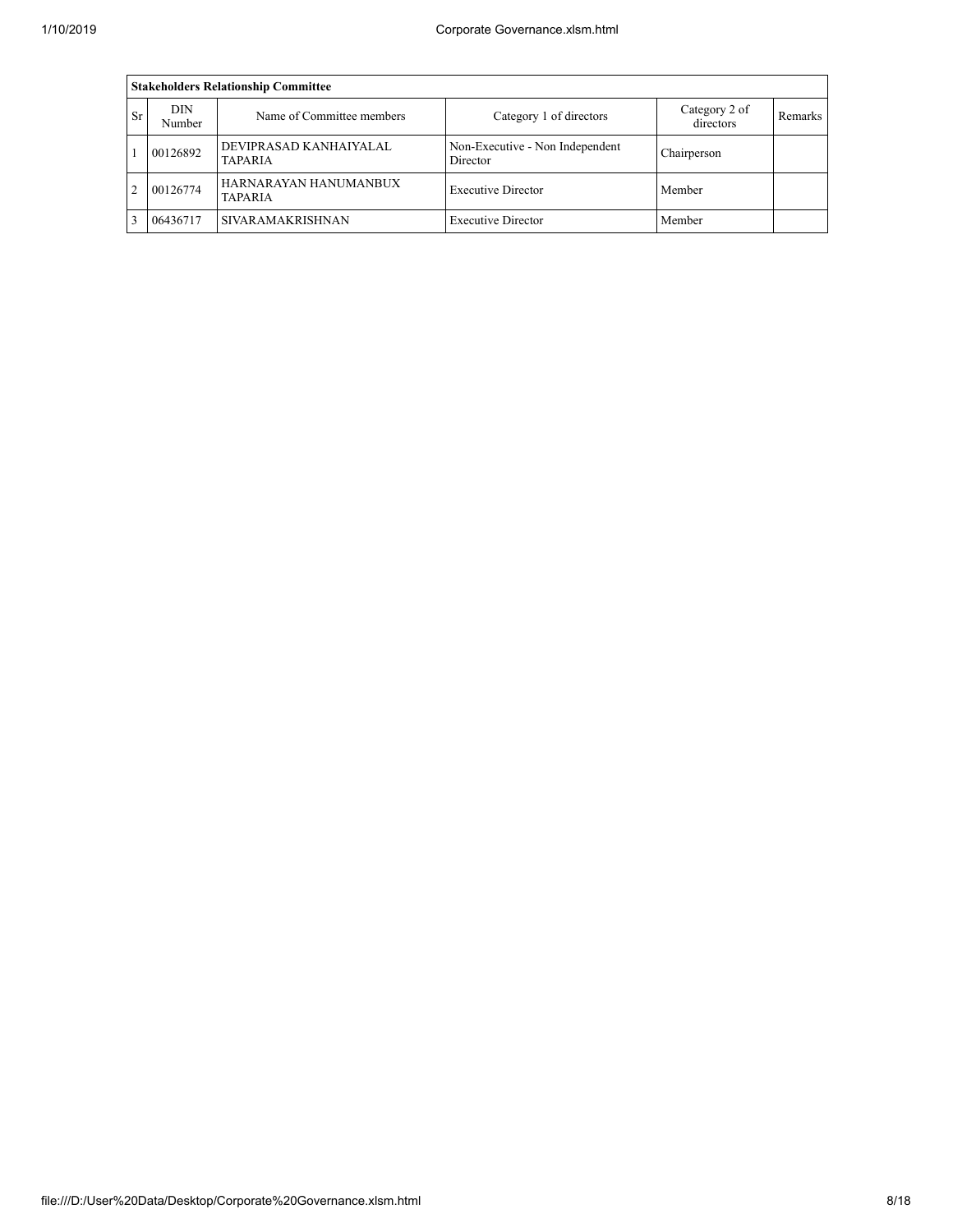|                | <b>Stakeholders Relationship Committee</b> |                                          |                                             |                            |                |  |  |  |  |  |  |  |
|----------------|--------------------------------------------|------------------------------------------|---------------------------------------------|----------------------------|----------------|--|--|--|--|--|--|--|
| <b>Sr</b>      | DIN<br>Number                              | Name of Committee members                | Category 1 of directors                     | Category 2 of<br>directors | <b>Remarks</b> |  |  |  |  |  |  |  |
|                | 00126892                                   | DEVIPRASAD KANHAIYALAL<br><b>TAPARIA</b> | Non-Executive - Non Independent<br>Director | Chairperson                |                |  |  |  |  |  |  |  |
| $\overline{2}$ | 00126774                                   | HARNARAYAN HANUMANBUX<br><b>TAPARIA</b>  | <b>Executive Director</b>                   | Member                     |                |  |  |  |  |  |  |  |
|                | 06436717                                   | <b>SIVARAMAKRISHNAN</b>                  | <b>Executive Director</b>                   | Member                     |                |  |  |  |  |  |  |  |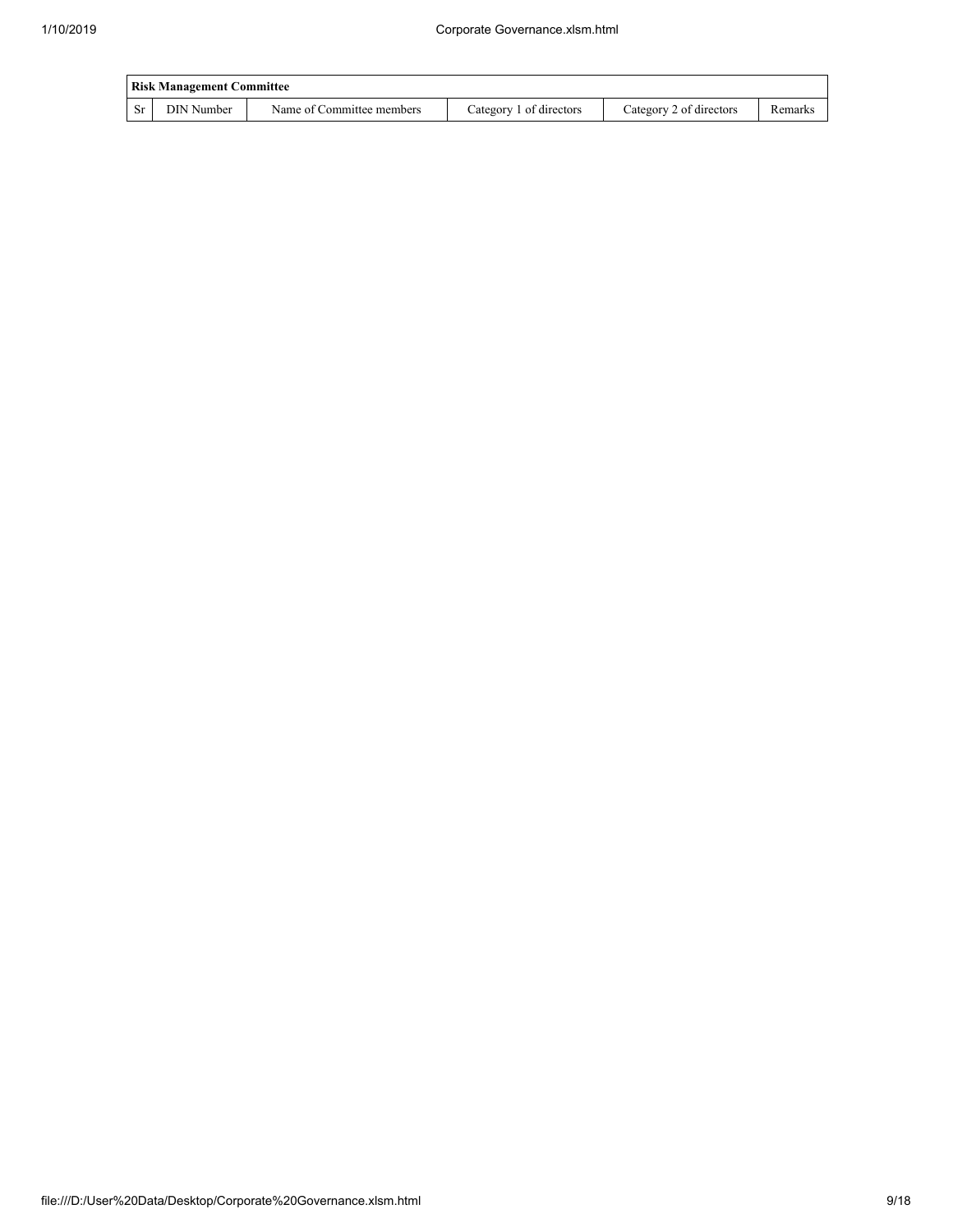|      | <b>Risk Management Committee</b> |                           |                         |                         |         |  |  |  |  |  |
|------|----------------------------------|---------------------------|-------------------------|-------------------------|---------|--|--|--|--|--|
| l Sr | DIN Number                       | Name of Committee members | Category 1 of directors | Category 2 of directors | Remarks |  |  |  |  |  |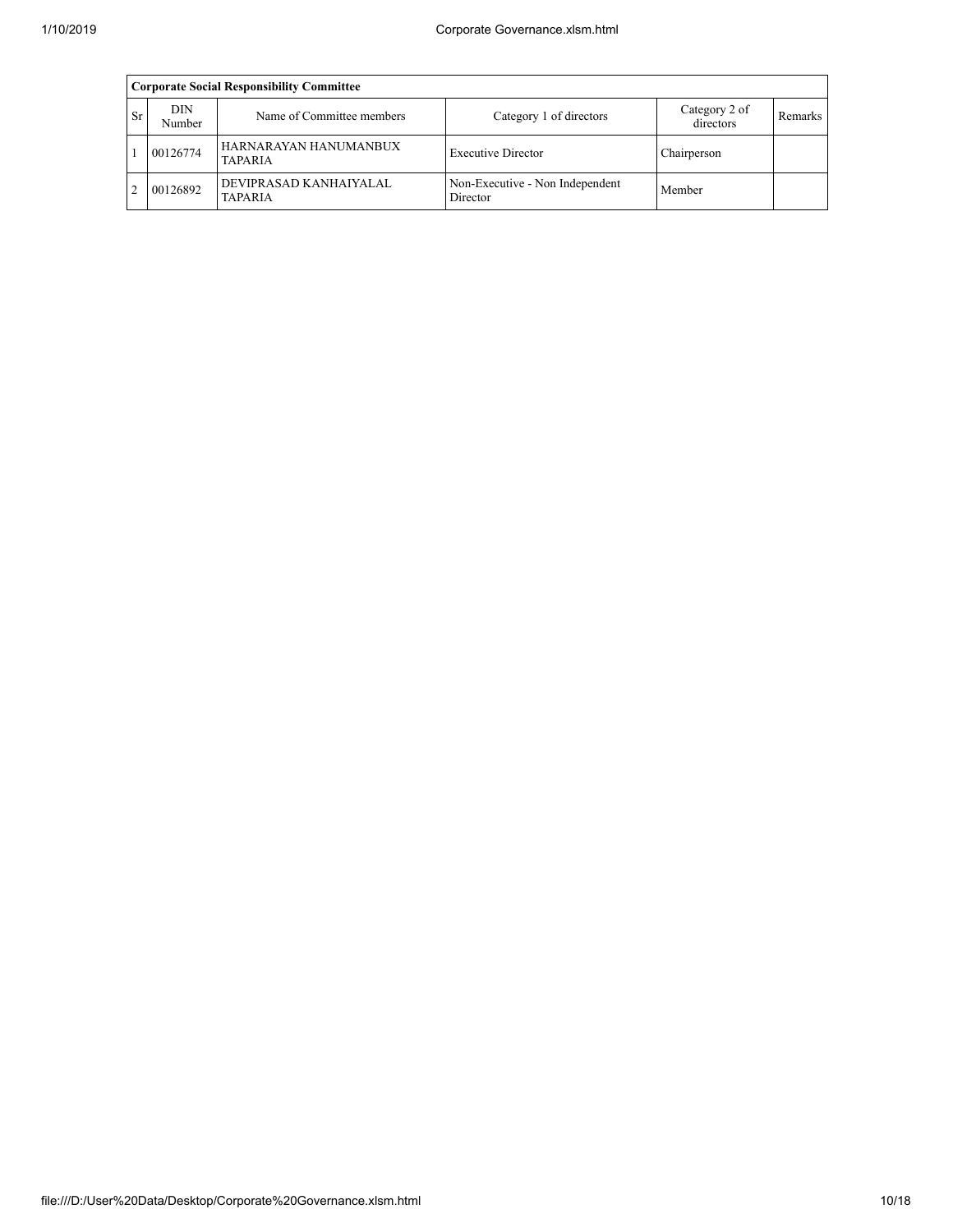|               | <b>Corporate Social Responsibility Committee</b> |                                          |                                             |                            |         |  |  |  |  |  |  |
|---------------|--------------------------------------------------|------------------------------------------|---------------------------------------------|----------------------------|---------|--|--|--|--|--|--|
| <b>Sr</b>     | <b>DIN</b><br>Number                             | Name of Committee members                | Category 1 of directors                     | Category 2 of<br>directors | Remarks |  |  |  |  |  |  |
|               | 00126774                                         | HARNARAYAN HANUMANBUX<br><b>TAPARIA</b>  | <b>Executive Director</b>                   | Chairperson                |         |  |  |  |  |  |  |
| $\mathcal{D}$ | 00126892                                         | DEVIPRASAD KANHAIYALAL<br><b>TAPARIA</b> | Non-Executive - Non Independent<br>Director | Member                     |         |  |  |  |  |  |  |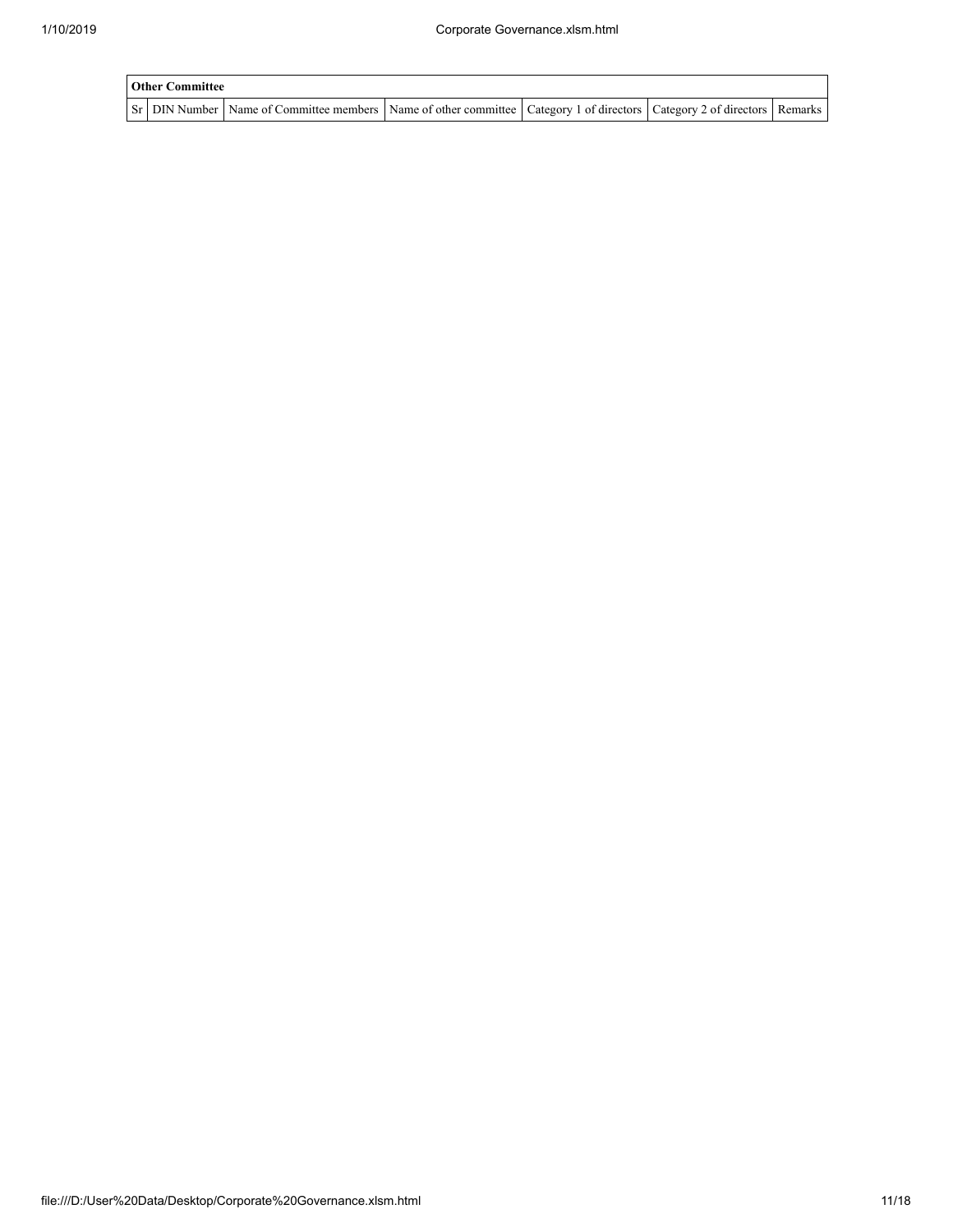| <b>Other Committee</b> |                                                                                                                                     |  |  |
|------------------------|-------------------------------------------------------------------------------------------------------------------------------------|--|--|
|                        | Sr   DIN Number   Name of Committee members   Name of other committee   Category 1 of directors   Category 2 of directors   Remarks |  |  |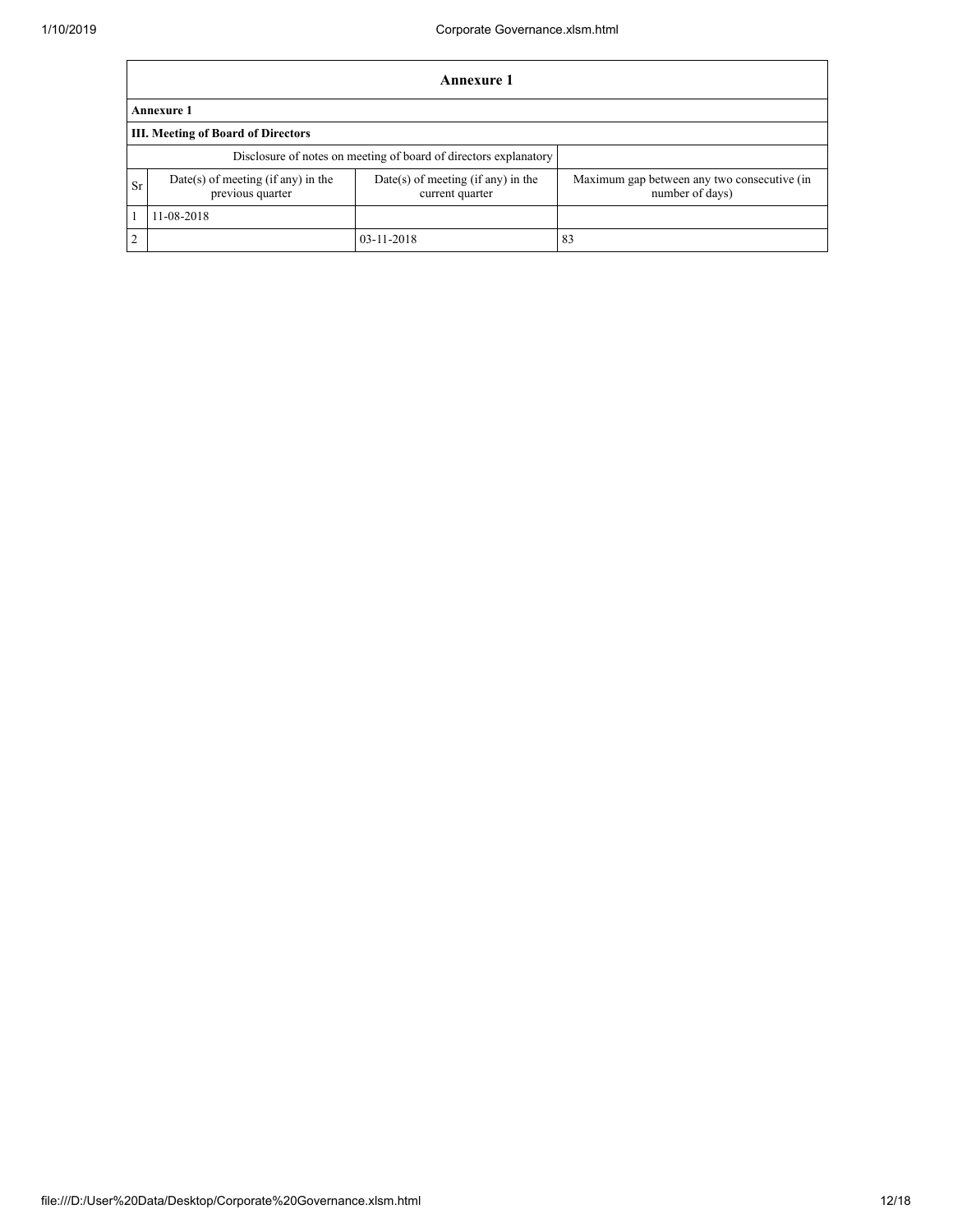|                | <b>Annexure 1</b>                                                |                                                       |                                                                |  |  |  |  |  |  |  |
|----------------|------------------------------------------------------------------|-------------------------------------------------------|----------------------------------------------------------------|--|--|--|--|--|--|--|
|                | <b>Annexure 1</b>                                                |                                                       |                                                                |  |  |  |  |  |  |  |
|                | III. Meeting of Board of Directors                               |                                                       |                                                                |  |  |  |  |  |  |  |
|                | Disclosure of notes on meeting of board of directors explanatory |                                                       |                                                                |  |  |  |  |  |  |  |
| <b>Sr</b>      | $Date(s)$ of meeting (if any) in the<br>previous quarter         | Date(s) of meeting (if any) in the<br>current quarter | Maximum gap between any two consecutive (in<br>number of days) |  |  |  |  |  |  |  |
|                | 11-08-2018                                                       |                                                       |                                                                |  |  |  |  |  |  |  |
| $\overline{2}$ |                                                                  | 03-11-2018                                            | 83                                                             |  |  |  |  |  |  |  |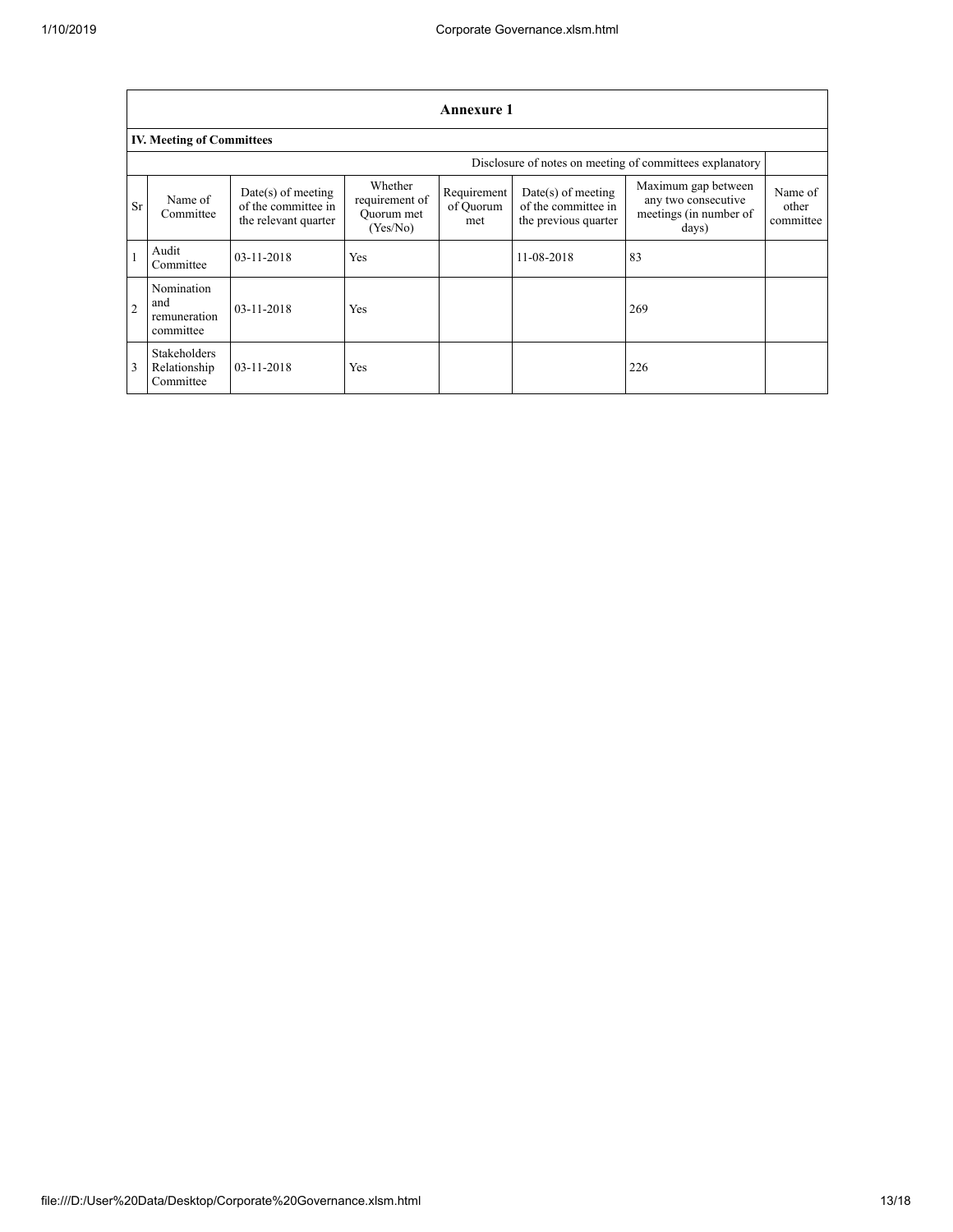|                                                          |                                                  |                                                                     |                                                     | <b>Annexure 1</b>               |                                                                     |                                                                               |                               |
|----------------------------------------------------------|--------------------------------------------------|---------------------------------------------------------------------|-----------------------------------------------------|---------------------------------|---------------------------------------------------------------------|-------------------------------------------------------------------------------|-------------------------------|
|                                                          | <b>IV. Meeting of Committees</b>                 |                                                                     |                                                     |                                 |                                                                     |                                                                               |                               |
| Disclosure of notes on meeting of committees explanatory |                                                  |                                                                     |                                                     |                                 |                                                                     |                                                                               |                               |
| Sr                                                       | Name of<br>Committee                             | $Date(s)$ of meeting<br>of the committee in<br>the relevant quarter | Whether<br>requirement of<br>Quorum met<br>(Yes/No) | Requirement<br>of Quorum<br>met | $Date(s)$ of meeting<br>of the committee in<br>the previous quarter | Maximum gap between<br>any two consecutive<br>meetings (in number of<br>days) | Name of<br>other<br>committee |
|                                                          | Audit<br>Committee                               | 03-11-2018                                                          | Yes                                                 |                                 | 11-08-2018                                                          | 83                                                                            |                               |
| $\overline{2}$                                           | Nomination<br>and<br>remuneration<br>committee   | 03-11-2018                                                          | Yes                                                 |                                 |                                                                     | 269                                                                           |                               |
| 3                                                        | <b>Stakeholders</b><br>Relationship<br>Committee | $03 - 11 - 2018$                                                    | Yes                                                 |                                 |                                                                     | 226                                                                           |                               |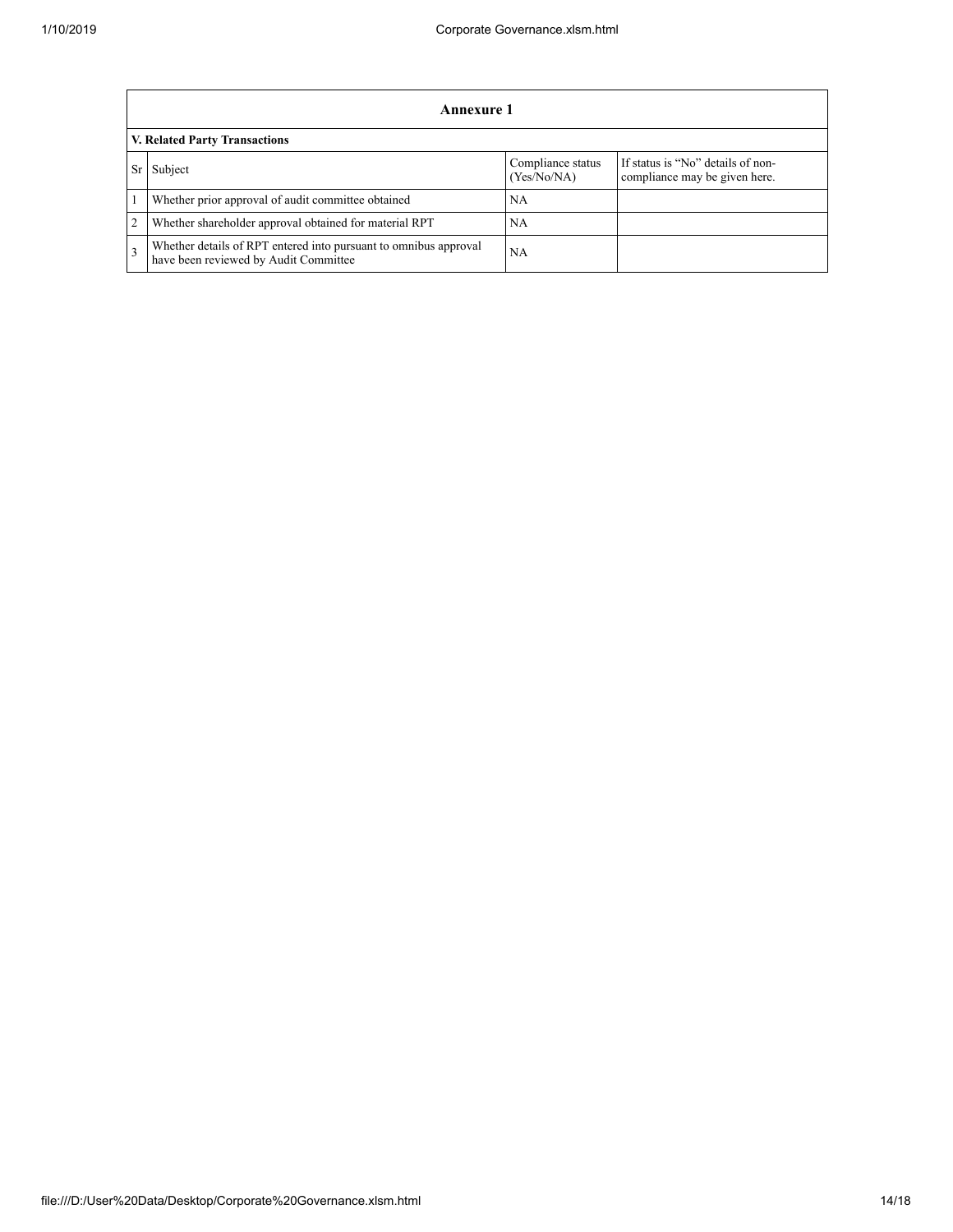|   | Annexure 1                                                                                                |                                  |                                                                    |  |  |
|---|-----------------------------------------------------------------------------------------------------------|----------------------------------|--------------------------------------------------------------------|--|--|
|   | V. Related Party Transactions                                                                             |                                  |                                                                    |  |  |
|   | Subject                                                                                                   | Compliance status<br>(Yes/No/NA) | If status is "No" details of non-<br>compliance may be given here. |  |  |
|   | Whether prior approval of audit committee obtained                                                        | NA                               |                                                                    |  |  |
| 2 | Whether shareholder approval obtained for material RPT                                                    | NA                               |                                                                    |  |  |
| 3 | Whether details of RPT entered into pursuant to omnibus approval<br>have been reviewed by Audit Committee | NA                               |                                                                    |  |  |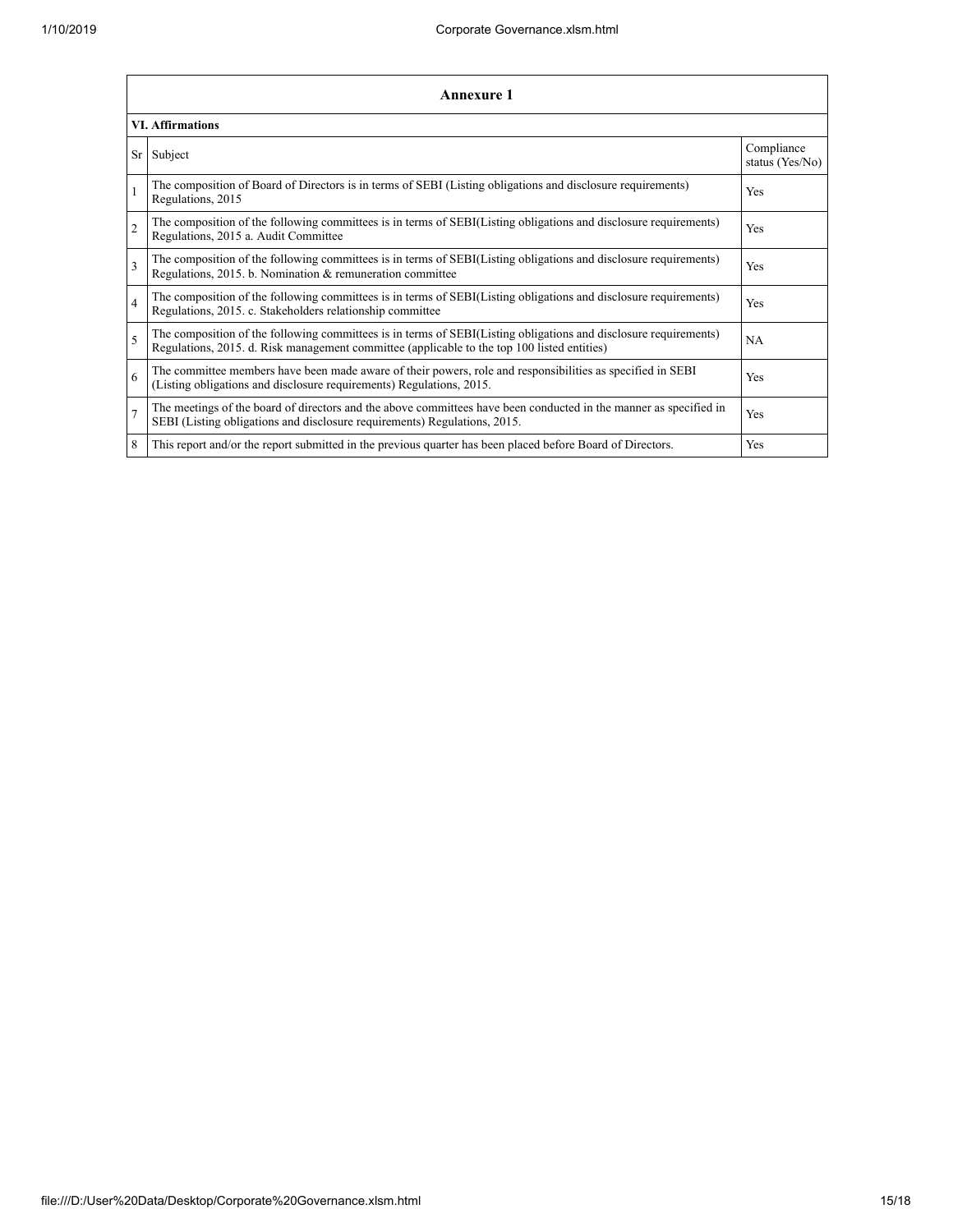|                | Annexure 1                                                                                                                                                                                                      |                               |  |  |  |
|----------------|-----------------------------------------------------------------------------------------------------------------------------------------------------------------------------------------------------------------|-------------------------------|--|--|--|
|                | <b>VI. Affirmations</b>                                                                                                                                                                                         |                               |  |  |  |
| Sr             | Subject                                                                                                                                                                                                         | Compliance<br>status (Yes/No) |  |  |  |
|                | The composition of Board of Directors is in terms of SEBI (Listing obligations and disclosure requirements)<br>Regulations, 2015                                                                                | Yes                           |  |  |  |
| $\overline{2}$ | The composition of the following committees is in terms of SEBI(Listing obligations and disclosure requirements)<br>Regulations, 2015 a. Audit Committee                                                        | <b>Yes</b>                    |  |  |  |
| 3              | The composition of the following committees is in terms of SEBI(Listing obligations and disclosure requirements)<br>Regulations, 2015. b. Nomination & remuneration committee                                   | Yes                           |  |  |  |
| $\overline{4}$ | The composition of the following committees is in terms of SEBI(Listing obligations and disclosure requirements)<br>Regulations, 2015. c. Stakeholders relationship committee                                   | Yes                           |  |  |  |
| 5              | The composition of the following committees is in terms of SEBI(Listing obligations and disclosure requirements)<br>Regulations, 2015. d. Risk management committee (applicable to the top 100 listed entities) | <b>NA</b>                     |  |  |  |
| 6              | The committee members have been made aware of their powers, role and responsibilities as specified in SEBI<br>(Listing obligations and disclosure requirements) Regulations, 2015.                              | Yes                           |  |  |  |
| $\overline{7}$ | The meetings of the board of directors and the above committees have been conducted in the manner as specified in<br>SEBI (Listing obligations and disclosure requirements) Regulations, 2015.                  | Yes                           |  |  |  |
| 8              | This report and/or the report submitted in the previous quarter has been placed before Board of Directors.                                                                                                      | Yes                           |  |  |  |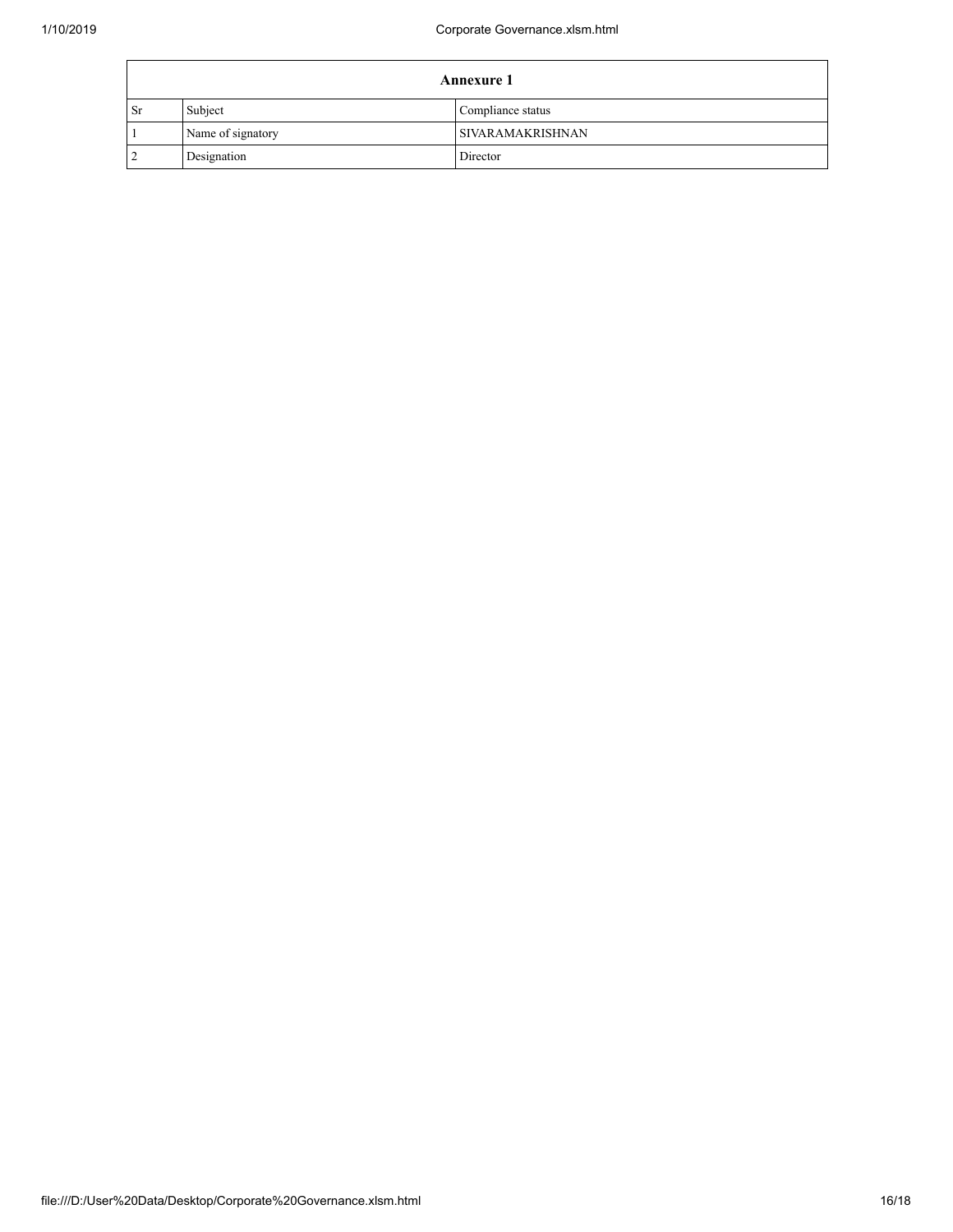| <b>Annexure 1</b> |                   |                         |  |
|-------------------|-------------------|-------------------------|--|
| <b>Sr</b>         | Subject           | Compliance status       |  |
|                   | Name of signatory | <b>SIVARAMAKRISHNAN</b> |  |
| ി<br>∠            | Designation       | Director                |  |